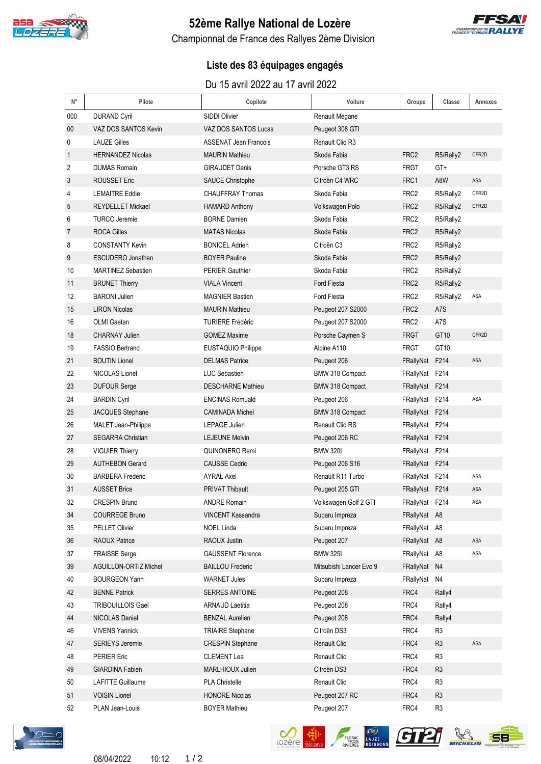

# **52ème Rallye National de Lozère**



Championnat de France des Rallyes 2ème Division

## **Liste des 83 équipages engagés**

#### Du 15 avril 2022 au 17 avril 2022

| $\mathsf{N}^\circ$ | Pilote                     | Copilote                     | Voiture                 | Groupe           | Classe         | Annexes |
|--------------------|----------------------------|------------------------------|-------------------------|------------------|----------------|---------|
| 000                | <b>DURAND Cyril</b>        | SIDDI Olivier                | Renault Mégane          |                  |                |         |
| 00                 | VAZ DOS SANTOS Kevin       | VAZ DOS SANTOS Lucas         | Peugeot 308 GTI         |                  |                |         |
| 0                  | <b>LAUZE Gilles</b>        | <b>ASSENAT Jean Francois</b> | Renault Clio R3         |                  |                |         |
| $\mathbf{1}$       | <b>HERNANDEZ Nicolas</b>   | <b>MAURIN Mathieu</b>        | Skoda Fabia             | FRC <sub>2</sub> | R5/Rally2      | CFR2D   |
| 2                  | <b>DUMAS Romain</b>        | <b>GIRAUDET Denis</b>        | Porsche GT3 RS          | FRGT             | GT+            |         |
| 3                  | <b>ROUSSET Eric</b>        | <b>SAUCE Christophe</b>      | Citroën C4 WRC          | FRC1             | A8W            | ASA     |
| 4                  | <b>LEMAITRE Eddie</b>      | <b>CHAUFFRAY Thomas</b>      | Skoda Fabia             | FRC2             | R5/Rally2      | CFR2D   |
| 5                  | <b>REYDELLET Mickael</b>   | <b>HAMARD Anthony</b>        | Volkswagen Polo         | FRC <sub>2</sub> | R5/Rally2      | CFR2D   |
| 6                  | <b>TURCO Jeremie</b>       | <b>BORNE Damien</b>          | Skoda Fabia             | FRC2             | R5/Rally2      |         |
| 7                  | <b>ROCA Gilles</b>         | <b>MATAS Nicolas</b>         | Skoda Fabia             | FRC2             | R5/Rally2      |         |
| 8                  | <b>CONSTANTY Kevin</b>     | <b>BONICEL Adrien</b>        | Citroën C <sub>3</sub>  | FRC2             | R5/Rally2      |         |
| 9                  | ESCUDERO Jonathan          | <b>BOYER Pauline</b>         | Skoda Fabia             | FRC <sub>2</sub> | R5/Rally2      |         |
| 10                 | <b>MARTINEZ Sebastien</b>  | <b>PERIER Gauthier</b>       | Skoda Fabia             | FRC2             | R5/Rally2      |         |
| 11                 | <b>BRUNET Thierry</b>      | <b>VIALA Vincent</b>         | <b>Ford Fiesta</b>      | FRC2             | R5/Rally2      |         |
| 12                 | <b>BARONI Julien</b>       | <b>MAGNIER Bastien</b>       | Ford Fiesta             | FRC2             | R5/Rally2      | ASA     |
| 15                 | <b>LIRON Nicolas</b>       | <b>MAURIN Mathieu</b>        | Peugeot 207 S2000       | FRC2             | A7S            |         |
| 16                 | <b>OLMI</b> Gaetan         | <b>TURIERE Frédéric</b>      | Peugeot 207 S2000       | FRC2             | A7S            |         |
| 18                 | <b>CHARNAY Julien</b>      | <b>GOMEZ Maxime</b>          | Porsche Caymen S        | <b>FRGT</b>      | GT10           | CFR2D   |
| 19                 | <b>FASSIO Bertrand</b>     | EUSTAQUIO Philippe           | Alpine A110             | <b>FRGT</b>      | GT10           |         |
| 21                 | <b>BOUTIN Lionel</b>       | <b>DELMAS Patrice</b>        | Peugeot 206             | FRallyNat        | F214           | ASA     |
| 22                 | NICOLAS Lionel             | <b>LUC Sebastien</b>         | BMW 318 Compact         | FRallyNat F214   |                |         |
| 23                 | <b>DUFOUR Serge</b>        | <b>DESCHARNE Mathieu</b>     | BMW 318 Compact         | FRallyNat F214   |                |         |
| 24                 | <b>BARDIN Cyril</b>        | <b>ENCINAS Romuald</b>       | Peugeot 206             | FRallyNat F214   |                | ASA     |
| 25                 | JACQUES Stephane           | <b>CAMINADA Michel</b>       | BMW 318 Compact         | FRallyNat F214   |                |         |
| 26                 | <b>MALET Jean-Philippe</b> | <b>LEPAGE Julien</b>         | <b>Renault Clio RS</b>  | FRallyNat F214   |                |         |
| 27                 | <b>SEGARRA Christian</b>   | <b>LEJEUNE Melvin</b>        | Peugeot 206 RC          | FRallyNat F214   |                |         |
| 28                 | <b>VIGUIER Thierry</b>     | QUINONERO Remi               | <b>BMW 320I</b>         | FRallyNat F214   |                |         |
| 29                 | <b>AUTHEBON Gerard</b>     | <b>CAUSSE Cedric</b>         | Peugeot 206 S16         | FRallyNat F214   |                |         |
| 30                 | <b>BARBERA Frederic</b>    | <b>AYRAL Axel</b>            | Renault R11 Turbo       | FRallyNat F214   |                | ASA     |
| 31                 | <b>AUSSET Brice</b>        | <b>PRIVAT Thibault</b>       | Peugeot 205 GTI         | FRallyNat F214   |                | ASA     |
| 32                 | CRESPIN Bruno              | <b>ANDRE Romain</b>          | Volkswagen Golf 2 GTI   | FRallyNat F214   |                | ASA     |
| 34                 | <b>COURREGE Bruno</b>      | VINCENT Kassandra            | Subaru Impreza          | FRallyNat A8     |                |         |
| 35                 | PELLET Olivier             | <b>NOEL Linda</b>            | Subaru Impreza          | FRallyNat A8     |                |         |
| 36                 | RAOUX Patrice              | RAOUX Justin                 | Peugeot 207             | FRallyNat A8     |                | ASA     |
| 37                 | <b>FRAISSE Serge</b>       | <b>GAUSSENT Florence</b>     | <b>BMW 325I</b>         | FRallyNat A8     |                | ASA     |
| 39                 | AGUILLON-ORTIZ Michel      | <b>BAILLOU Frederic</b>      | Mitsubishi Lancer Evo 9 | FRallyNat N4     |                |         |
| 40                 | <b>BOURGEON Yann</b>       | <b>WARNET Jules</b>          | Subaru Impreza          | FRallyNat        | N4             |         |
| 42                 | <b>BENNE Patrick</b>       | SERRES ANTOINE               | Peugeot 208             | FRC4             | Rally4         |         |
| 43                 | <b>TRIBOUILLOIS Gael</b>   | <b>ARNAUD Laetitia</b>       | Peugeot 208             | FRC4             | Rally4         |         |
| 44                 | NICOLAS Daniel             | <b>BENZAL Aurelien</b>       | Peugeot 208             | FRC4             | Rally4         |         |
| 46                 | <b>VIVENS Yannick</b>      | <b>TRIAIRE Stephane</b>      | Citroën DS3             | FRC4             | R <sub>3</sub> |         |
| 47                 | <b>SERIEYS Jeremie</b>     | <b>CRESPIN Stephane</b>      | Renault Clio            | FRC4             | R <sub>3</sub> | ASA     |
| 48                 | <b>PERIER Eric</b>         | <b>CLEMENT Lea</b>           | Renault Clio            | FRC4             | R <sub>3</sub> |         |
| 49                 | <b>GIARDINA Fabien</b>     | MARLHIOUX Julien             | Citroën DS3             | FRC4             | R <sub>3</sub> |         |
| 50                 | <b>LAFITTE Guillaume</b>   | <b>PLA Christelle</b>        | Renault Clio            | FRC4             | R <sub>3</sub> |         |
| 51                 | <b>VOISIN Lionel</b>       | <b>HONORE Nicolas</b>        | Peugeot 207 RC          | FRC4             | R <sub>3</sub> |         |
| 52                 | PLAN Jean-Louis            | <b>BOYER Mathieu</b>         | Peugeot 207             | FRC4             | R <sub>3</sub> |         |